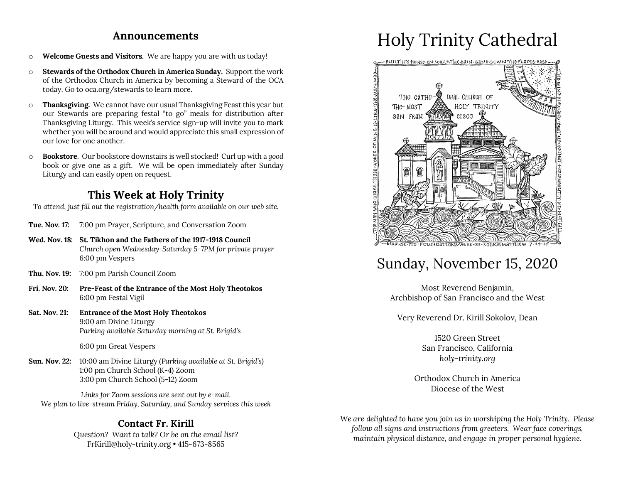#### **Announcements**

- o **Welcome Guests and Visitors.** We are happy you are with us today!
- o **Stewards of the Orthodox Church in America Sunday.** Support the work of the Orthodox Church in America by becoming a Steward of the OCA today. Go to oca.org/stewards to learn more.
- o **Thanksgiving.** We cannot have our usual Thanksgiving Feast this year but our Stewards are preparing festal "to go" meals for distribution after Thanksgiving Liturgy. This week's service sign-up will invite you to mark whether you will be around and would appreciate this small expression of our love for one another.
- o **Bookstore**. Our bookstore downstairs is well stocked! Curl up with a *good* book or give one as a gift. We will be open immediately after Sunday Liturgy and can easily open on request.

## **This Week at Holy Trinity**

*To attend, just fill out the registration/health form available on our web site.*

- **Tue. Nov. 17:** 7:00 pm Prayer, Scripture, and Conversation Zoom
- **Wed. Nov. 18: St. Tikhon and the Fathers of the 1917-1918 Council** *Church open Wednesday-Saturday 5-7PM for private prayer* 6:00 pm Vespers
- **Thu. Nov. 19:** 7:00 pm Parish Council Zoom
- **Fri. Nov. 20: Pre-Feast of the Entrance of the Most Holy Theotokos** 6:00 pm Festal Vigil
- **Sat. Nov. 21: Entrance of the Most Holy Theotokos** 9:00 am Divine Liturgy *Parking available Saturday morning at St. Brigid's*

6:00 pm Great Vespers

**Sun. Nov. 22:** 10:00 am Divine Liturgy (*Parking available at St. Brigid's)* 1:00 pm Church School (K-4) Zoom 3:00 pm Church School (5-12) Zoom

*Links for Zoom sessions are sent out by e-mail. We plan to live-stream Friday, Saturday, and Sunday services this week* 

#### **Contact Fr. Kirill**

*Question? Want to talk? Or be on the email list?* FrKirill@holy-trinity.org • 415-673-8565

# Holy Trinity Cathedral



# Sunday, November 15, 2020

Most Reverend Benjamin, Archbishop of San Francisco and the West

Very Reverend Dr. Kirill Sokolov, Dean

1520 Green Street San Francisco, California *holy-trinity.org*

Orthodox Church in America Diocese of the West

*We are delighted to have you join us in worshiping the Holy Trinity. Please follow all signs and instructions from greeters. Wear face coverings, maintain physical distance, and engage in proper personal hygiene.*